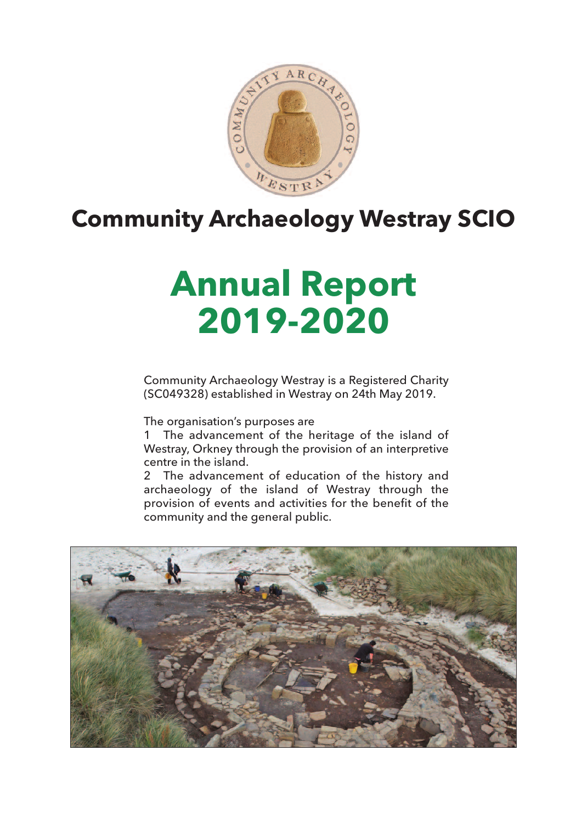

## **Community Archaeology Westray SCIO**

# **Annual Report 2019-2020**

Community Archaeology Westray is a Registered Charity (SC049328) established in Westray on 24th May 2019.

The organisation's purposes are

1 The advancement of the heritage of the island of Westray, Orkney through the provision of an interpretive centre in the island.

2 The advancement of education of the history and archaeology of the island of Westray through the provision of events and activities for the benefit of the community and the general public.

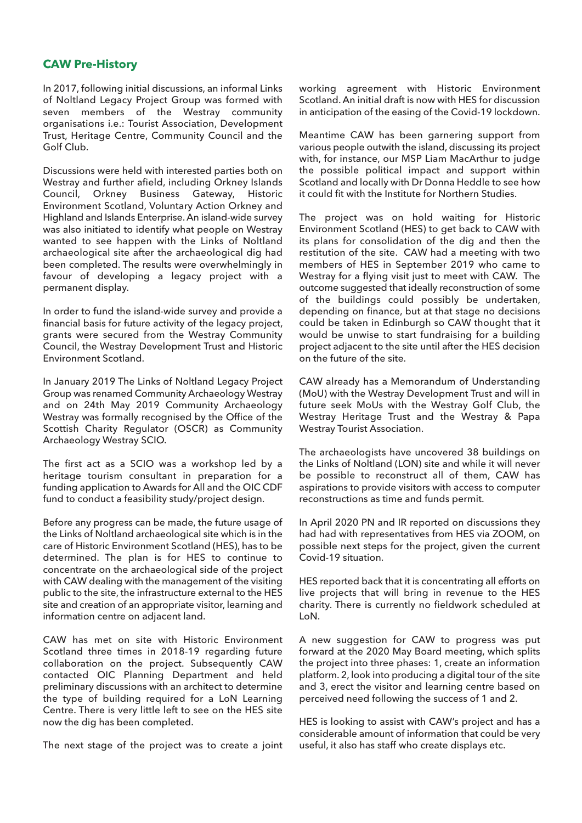#### **CAW Pre-History**

In 2017, following initial discussions, an informal Links of Noltland Legacy Project Group was formed with seven members of the Westray community organisations i.e.: Tourist Association, Development Trust, Heritage Centre, Community Council and the Golf Club.

Discussions were held with interested parties both on Westray and further afield, including Orkney Islands Council, Orkney Business Gateway, Historic Environment Scotland, Voluntary Action Orkney and Highland and Islands Enterprise. An island-wide survey was also initiated to identify what people on Westray wanted to see happen with the Links of Noltland archaeological site after the archaeological dig had been completed. The results were overwhelmingly in favour of developing a legacy project with a permanent display.

In order to fund the island-wide survey and provide a financial basis for future activity of the legacy project, grants were secured from the Westray Community Council, the Westray Development Trust and Historic Environment Scotland.

In January 2019 The Links of Noltland Legacy Project Group was renamed Community Archaeology Westray and on 24th May 2019 Community Archaeology Westray was formally recognised by the Office of the Scottish Charity Regulator (OSCR) as Community Archaeology Westray SCIO.

The first act as a SCIO was a workshop led by a heritage tourism consultant in preparation for a funding application to Awards for All and the OIC CDF fund to conduct a feasibility study/project design.

Before any progress can be made, the future usage of the Links of Noltland archaeological site which is in the care of Historic Environment Scotland (HES), has to be determined. The plan is for HES to continue to concentrate on the archaeological side of the project with CAW dealing with the management of the visiting public to the site, the infrastructure external to the HES site and creation of an appropriate visitor, learning and information centre on adjacent land.

CAW has met on site with Historic Environment Scotland three times in 2018-19 regarding future collaboration on the project. Subsequently CAW contacted OIC Planning Department and held preliminary discussions with an architect to determine the type of building required for a LoN Learning Centre. There is very little left to see on the HES site now the dig has been completed.

The next stage of the project was to create a joint

working agreement with Historic Environment Scotland. An initial draft is now with HES for discussion in anticipation of the easing of the Covid-19 lockdown.

Meantime CAW has been garnering support from various people outwith the island, discussing its project with, for instance, our MSP Liam MacArthur to judge the possible political impact and support within Scotland and locally with Dr Donna Heddle to see how it could fit with the Institute for Northern Studies.

The project was on hold waiting for Historic Environment Scotland (HES) to get back to CAW with its plans for consolidation of the dig and then the restitution of the site. CAW had a meeting with two members of HES in September 2019 who came to Westray for a flying visit just to meet with CAW. The outcome suggested that ideally reconstruction of some of the buildings could possibly be undertaken, depending on finance, but at that stage no decisions could be taken in Edinburgh so CAW thought that it would be unwise to start fundraising for a building project adjacent to the site until after the HES decision on the future of the site.

CAW already has a Memorandum of Understanding (MoU) with the Westray Development Trust and will in future seek MoUs with the Westray Golf Club, the Westray Heritage Trust and the Westray & Papa Westray Tourist Association.

The archaeologists have uncovered 38 buildings on the Links of Noltland (LON) site and while it will never be possible to reconstruct all of them, CAW has aspirations to provide visitors with access to computer reconstructions as time and funds permit.

In April 2020 PN and IR reported on discussions they had had with representatives from HES via ZOOM, on possible next steps for the project, given the current Covid-19 situation.

HES reported back that it is concentrating all efforts on live projects that will bring in revenue to the HES charity. There is currently no fieldwork scheduled at LoN.

A new suggestion for CAW to progress was put forward at the 2020 May Board meeting, which splits the project into three phases: 1, create an information platform. 2, look into producing a digital tour of the site and 3, erect the visitor and learning centre based on perceived need following the success of 1 and 2.

HES is looking to assist with CAW's project and has a considerable amount of information that could be very useful, it also has staff who create displays etc.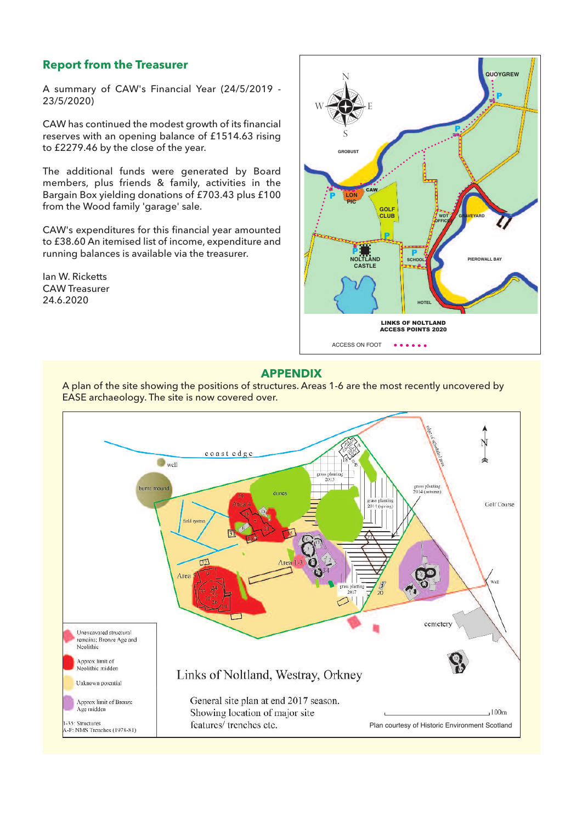### **Report from the Treasurer**

A summary of CAW's Financial Year (24/5/2019 - 23/5/2020)

CAW has continued the modest growth of its financial reserves with an opening balance of £1514.63 rising to £2279.46 by the close of the year.

The additional funds were generated by Board members, plus friends & family, activities in the Bargain Box yielding donations of £703.43 plus £100 from the Wood family 'garage' sale.

CAW's expenditures for this financial year amounted to £38.60 An itemised list of income, expenditure and running balances is available via the treasurer.

Ian W. Ricketts CAW Treasurer 24.6.2020



#### **APPENDIX**

A plan of the site showing the positions of structures. Areas 1-6 are the most recently uncovered by EASE archaeology. The site is now covered over.